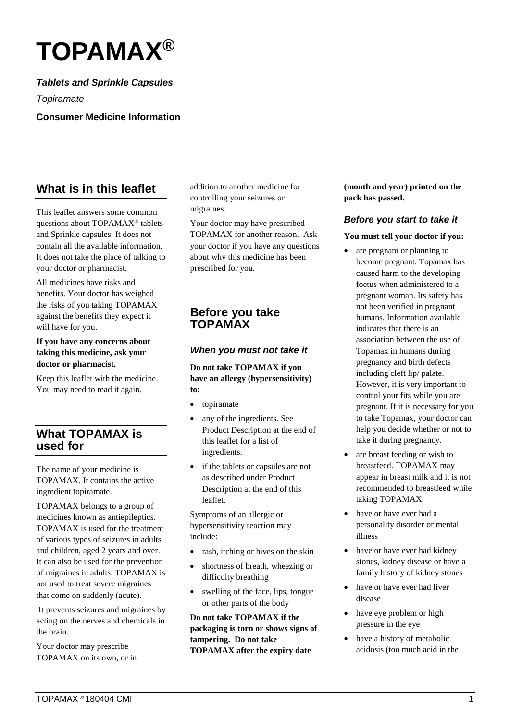# **TOPAMAX®**

## *Tablets and Sprinkle Capsules*

*Topiramate*

**Consumer Medicine Information**

# **What is in this leaflet**

This leaflet answers some common questions about TOPAMAX® tablets and Sprinkle capsules. It does not contain all the available information. It does not take the place of talking to your doctor or pharmacist.

All medicines have risks and benefits. Your doctor has weighed the risks of you taking TOPAMAX against the benefits they expect it will have for you.

#### **If you have any concerns about taking this medicine, ask your doctor or pharmacist.**

Keep this leaflet with the medicine. You may need to read it again.

# **What TOPAMAX is used for**

The name of your medicine is TOPAMAX. It contains the active ingredient topiramate.

TOPAMAX belongs to a group of medicines known as antiepileptics. TOPAMAX is used for the treatment of various types of seizures in adults and children, aged 2 years and over. It can also be used for the prevention of migraines in adults. TOPAMAX is not used to treat severe migraines that come on suddenly (acute).

It prevents seizures and migraines by acting on the nerves and chemicals in the brain.

Your doctor may prescribe TOPAMAX on its own, or in addition to another medicine for controlling your seizures or migraines.

Your doctor may have prescribed TOPAMAX for another reason. Ask your doctor if you have any questions about why this medicine has been prescribed for you.

# **Before you take TOPAMAX**

#### *When you must not take it*

**Do not take TOPAMAX if you have an allergy (hypersensitivity) to:**

- topiramate
- any of the ingredients. See Product Description at the end of this leaflet for a list of ingredients.
- if the tablets or capsules are not as described under Product Description at the end of this leaflet.

Symptoms of an allergic or hypersensitivity reaction may include:

- rash, itching or hives on the skin
- shortness of breath, wheezing or difficulty breathing
- swelling of the face, lips, tongue or other parts of the body

**Do not take TOPAMAX if the packaging is torn or shows signs of tampering. Do not take TOPAMAX after the expiry date** 

**(month and year) printed on the pack has passed.**

#### *Before you start to take it*

**You must tell your doctor if you:**

- are pregnant or planning to become pregnant. Topamax has caused harm to the developing foetus when administered to a pregnant woman. Its safety has not been verified in pregnant humans. Information available indicates that there is an association between the use of Topamax in humans during pregnancy and birth defects including cleft lip/ palate. However, it is very important to control your fits while you are pregnant. If it is necessary for you to take Topamax, your doctor can help you decide whether or not to take it during pregnancy.
- are breast feeding or wish to breastfeed. TOPAMAX may appear in breast milk and it is not recommended to breastfeed while taking TOPAMAX.
- have or have ever had a personality disorder or mental illness
- have or have ever had kidney stones, kidney disease or have a family history of kidney stones
- have or have ever had liver disease
- have eye problem or high pressure in the eye
- have a history of metabolic acidosis (too much acid in the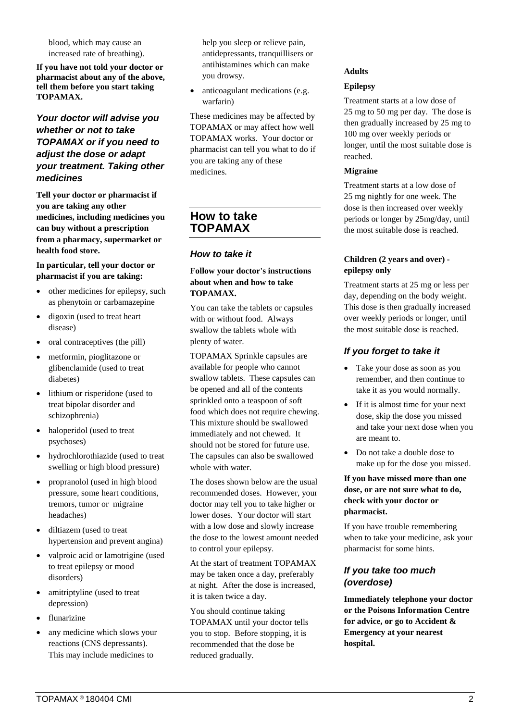blood, which may cause an increased rate of breathing).

**If you have not told your doctor or pharmacist about any of the above, tell them before you start taking TOPAMAX.**

#### *Your doctor will advise you whether or not to take TOPAMAX or if you need to adjust the dose or adapt your treatment. Taking other medicines*

**Tell your doctor or pharmacist if you are taking any other medicines, including medicines you can buy without a prescription from a pharmacy, supermarket or health food store.** 

#### **In particular, tell your doctor or pharmacist if you are taking:**

- other medicines for epilepsy, such as phenytoin or carbamazepine
- digoxin (used to treat heart) disease)
- oral contraceptives (the pill)
- metformin, pioglitazone or glibenclamide (used to treat diabetes)
- lithium or risperidone (used to treat bipolar disorder and schizophrenia)
- haloperidol (used to treat psychoses)
- hydrochlorothiazide (used to treat swelling or high blood pressure)
- propranolol (used in high blood pressure, some heart conditions, tremors, tumor or migraine headaches)
- diltiazem (used to treat hypertension and prevent angina)
- valproic acid or lamotrigine (used to treat epilepsy or mood disorders)
- amitriptyline (used to treat depression)
- flunarizine
- any medicine which slows your reactions (CNS depressants). This may include medicines to

help you sleep or relieve pain, antidepressants, tranquillisers or antihistamines which can make you drowsy.

• anticoagulant medications (e.g. warfarin)

These medicines may be affected by TOPAMAX or may affect how well TOPAMAX works. Your doctor or pharmacist can tell you what to do if you are taking any of these medicines.

# **How to take TOPAMAX**

#### *How to take it*

#### **Follow your doctor's instructions about when and how to take TOPAMAX.**

You can take the tablets or capsules with or without food. Always swallow the tablets whole with plenty of water.

TOPAMAX Sprinkle capsules are available for people who cannot swallow tablets. These capsules can be opened and all of the contents sprinkled onto a teaspoon of soft food which does not require chewing. This mixture should be swallowed immediately and not chewed. It should not be stored for future use. The capsules can also be swallowed whole with water.

The doses shown below are the usual recommended doses. However, your doctor may tell you to take higher or lower doses. Your doctor will start with a low dose and slowly increase the dose to the lowest amount needed to control your epilepsy.

At the start of treatment TOPAMAX may be taken once a day, preferably at night. After the dose is increased, it is taken twice a day.

You should continue taking TOPAMAX until your doctor tells you to stop. Before stopping, it is recommended that the dose be reduced gradually.

#### **Adults**

#### **Epilepsy**

Treatment starts at a low dose of 25 mg to 50 mg per day. The dose is then gradually increased by 25 mg to 100 mg over weekly periods or longer, until the most suitable dose is reached.

#### **Migraine**

Treatment starts at a low dose of 25 mg nightly for one week. The dose is then increased over weekly periods or longer by 25mg/day, until the most suitable dose is reached.

#### **Children (2 years and over) epilepsy only**

Treatment starts at 25 mg or less per day, depending on the body weight. This dose is then gradually increased over weekly periods or longer, until the most suitable dose is reached.

# *If you forget to take it*

- Take your dose as soon as you remember, and then continue to take it as you would normally.
- If it is almost time for your next dose, skip the dose you missed and take your next dose when you are meant to.
- Do not take a double dose to make up for the dose you missed.

#### **If you have missed more than one dose, or are not sure what to do, check with your doctor or pharmacist.**

If you have trouble remembering when to take your medicine, ask your pharmacist for some hints.

## *If you take too much (overdose)*

**Immediately telephone your doctor or the Poisons Information Centre for advice, or go to Accident & Emergency at your nearest hospital.**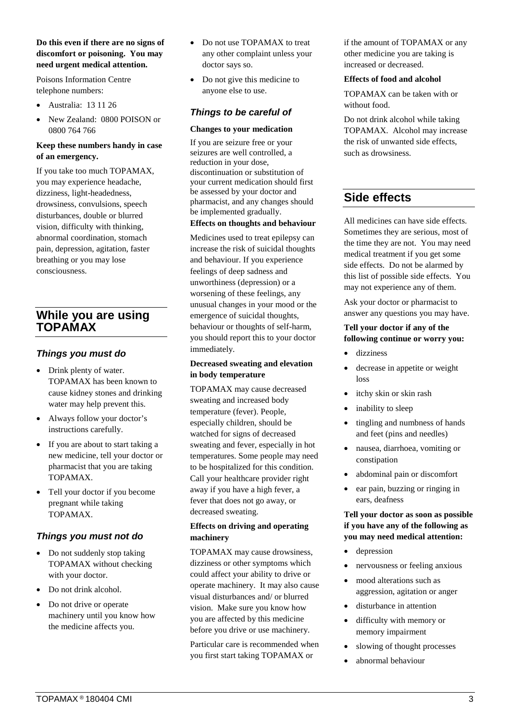#### **Do this even if there are no signs of discomfort or poisoning. You may need urgent medical attention.**

Poisons Information Centre telephone numbers:

- Australia: 13 11 26
- New Zealand: 0800 POISON or 0800 764 766

#### **Keep these numbers handy in case of an emergency.**

If you take too much TOPAMAX, you may experience headache, dizziness, light-headedness, drowsiness, convulsions, speech disturbances, double or blurred vision, difficulty with thinking, abnormal coordination, stomach pain, depression, agitation, faster breathing or you may lose consciousness.

# **While you are using TOPAMAX**

#### *Things you must do*

- Drink plenty of water. TOPAMAX has been known to cause kidney stones and drinking water may help prevent this.
- Always follow your doctor's instructions carefully.
- If you are about to start taking a new medicine, tell your doctor or pharmacist that you are taking TOPAMAX.
- Tell your doctor if you become pregnant while taking TOPAMAX.

#### *Things you must not do*

- Do not suddenly stop taking TOPAMAX without checking with your doctor.
- Do not drink alcohol.
- Do not drive or operate machinery until you know how the medicine affects you.
- Do not use TOPAMAX to treat any other complaint unless your doctor says so.
- Do not give this medicine to anyone else to use.

#### *Things to be careful of*

#### **Changes to your medication**

If you are seizure free or your seizures are well controlled, a reduction in your dose, discontinuation or substitution of your current medication should first be assessed by your doctor and pharmacist, and any changes should be implemented gradually.

#### **Effects on thoughts and behaviour**

Medicines used to treat epilepsy can increase the risk of suicidal thoughts and behaviour. If you experience feelings of deep sadness and unworthiness (depression) or a worsening of these feelings, any unusual changes in your mood or the emergence of suicidal thoughts, behaviour or thoughts of self-harm, you should report this to your doctor immediately.

#### **Decreased sweating and elevation in body temperature**

TOPAMAX may cause decreased sweating and increased body temperature (fever). People, especially children, should be watched for signs of decreased sweating and fever, especially in hot temperatures. Some people may need to be hospitalized for this condition. Call your healthcare provider right away if you have a high fever, a fever that does not go away, or decreased sweating.

#### **Effects on driving and operating machinery**

TOPAMAX may cause drowsiness, dizziness or other symptoms which could affect your ability to drive or operate machinery. It may also cause visual disturbances and/ or blurred vision. Make sure you know how you are affected by this medicine before you drive or use machinery.

Particular care is recommended when you first start taking TOPAMAX or

if the amount of TOPAMAX or any other medicine you are taking is increased or decreased.

#### **Effects of food and alcohol**

TOPAMAX can be taken with or without food.

Do not drink alcohol while taking TOPAMAX. Alcohol may increase the risk of unwanted side effects, such as drowsiness.

# **Side effects**

All medicines can have side effects. Sometimes they are serious, most of the time they are not. You may need medical treatment if you get some side effects. Do not be alarmed by this list of possible side effects. You may not experience any of them.

Ask your doctor or pharmacist to answer any questions you may have.

#### **Tell your doctor if any of the following continue or worry you:**

- dizziness
- decrease in appetite or weight loss
- itchy skin or skin rash
- inability to sleep
- tingling and numbness of hands and feet (pins and needles)
- nausea, diarrhoea, vomiting or constipation
- abdominal pain or discomfort
- ear pain, buzzing or ringing in ears, deafness

#### **Tell your doctor as soon as possible if you have any of the following as you may need medical attention:**

- depression
- nervousness or feeling anxious
- mood alterations such as aggression, agitation or anger
- disturbance in attention
- difficulty with memory or memory impairment
- slowing of thought processes
- abnormal behaviour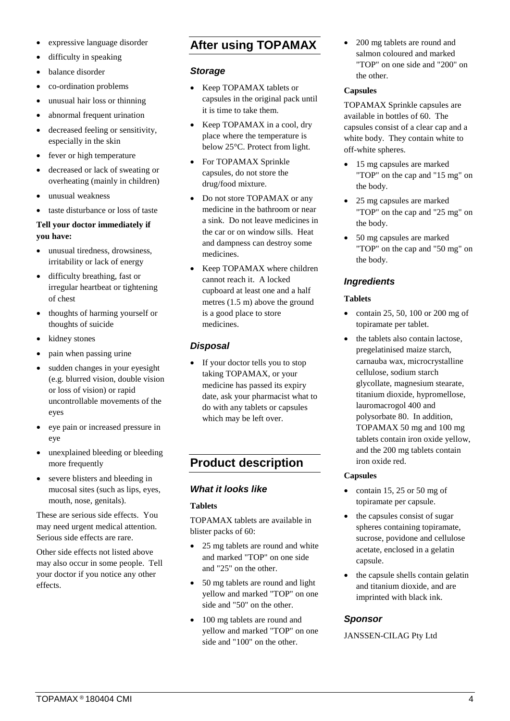- expressive language disorder
- difficulty in speaking
- balance disorder
- co-ordination problems
- unusual hair loss or thinning
- abnormal frequent urination
- decreased feeling or sensitivity, especially in the skin
- fever or high temperature
- decreased or lack of sweating or overheating (mainly in children)
- unusual weakness
- taste disturbance or loss of taste

#### **Tell your doctor immediately if you have:**

- unusual tiredness, drowsiness, irritability or lack of energy
- difficulty breathing, fast or irregular heartbeat or tightening of chest
- thoughts of harming yourself or thoughts of suicide
- kidney stones
- pain when passing urine
- sudden changes in your eyesight (e.g. blurred vision, double vision or loss of vision) or rapid uncontrollable movements of the eyes
- eye pain or increased pressure in eye
- unexplained bleeding or bleeding more frequently
- severe blisters and bleeding in mucosal sites (such as lips, eyes, mouth, nose, genitals).

These are serious side effects. You may need urgent medical attention. Serious side effects are rare.

Other side effects not listed above may also occur in some people. Tell your doctor if you notice any other effects.

# **After using TOPAMAX**

#### *Storage*

- Keep TOPAMAX tablets or capsules in the original pack until it is time to take them.
- Keep TOPAMAX in a cool, dry place where the temperature is below 25°C. Protect from light.
- For TOPAMAX Sprinkle capsules, do not store the drug/food mixture.
- Do not store TOPAMAX or any medicine in the bathroom or near a sink. Do not leave medicines in the car or on window sills. Heat and dampness can destroy some medicines.
- Keep TOPAMAX where children cannot reach it. A locked cupboard at least one and a half metres (1.5 m) above the ground is a good place to store medicines.

# *Disposal*

If your doctor tells you to stop taking TOPAMAX, or your medicine has passed its expiry date, ask your pharmacist what to do with any tablets or capsules which may be left over.

# **Product description**

## *What it looks like*

#### **Tablets**

TOPAMAX tablets are available in blister packs of 60:

- 25 mg tablets are round and white and marked "TOP" on one side and "25" on the other.
- 50 mg tablets are round and light yellow and marked "TOP" on one side and "50" on the other.
- 100 mg tablets are round and yellow and marked "TOP" on one side and "100" on the other.

• 200 mg tablets are round and salmon coloured and marked "TOP" on one side and "200" on the other.

#### **Capsules**

TOPAMAX Sprinkle capsules are available in bottles of 60. The capsules consist of a clear cap and a white body. They contain white to off-white spheres.

- 15 mg capsules are marked "TOP" on the cap and "15 mg" on the body.
- 25 mg capsules are marked "TOP" on the cap and "25 mg" on the body.
- 50 mg capsules are marked "TOP" on the cap and "50 mg" on the body.

# *Ingredients*

#### **Tablets**

- contain 25, 50, 100 or 200 mg of topiramate per tablet.
- the tablets also contain lactose, pregelatinised maize starch, carnauba wax, microcrystalline cellulose, sodium starch glycollate, magnesium stearate, titanium dioxide, hypromellose, lauromacrogol 400 and polysorbate 80. In addition, TOPAMAX 50 mg and 100 mg tablets contain iron oxide yellow, and the 200 mg tablets contain iron oxide red.

#### **Capsules**

- contain 15, 25 or 50 mg of topiramate per capsule.
- the capsules consist of sugar spheres containing topiramate, sucrose, povidone and cellulose acetate, enclosed in a gelatin capsule.
- the capsule shells contain gelatin and titanium dioxide, and are imprinted with black ink.

## *Sponsor*

JANSSEN-CILAG Pty Ltd